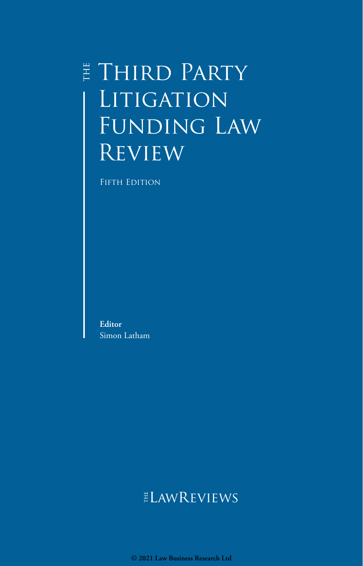# E THIRD PARTY LITIGATION Funding Law **REVIEW**

FIFTH EDITION

**Editor** Simon Latham

## **ELAWREVIEWS**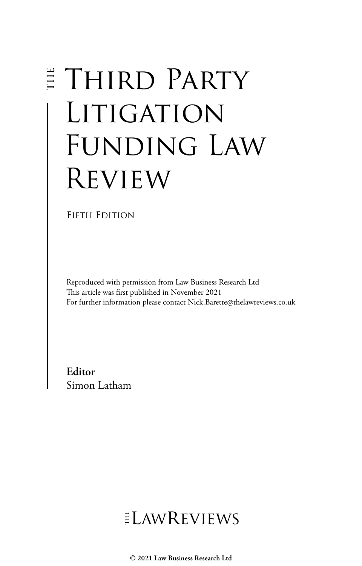# **E THIRD PARTY** LITIGATION FUNDING LAW Review

FIFTH EDITION

Reproduced with permission from Law Business Research Ltd This article was first published in November 2021 For further information please contact Nick.Barette@thelawreviews.co.uk

**Editor** Simon Latham

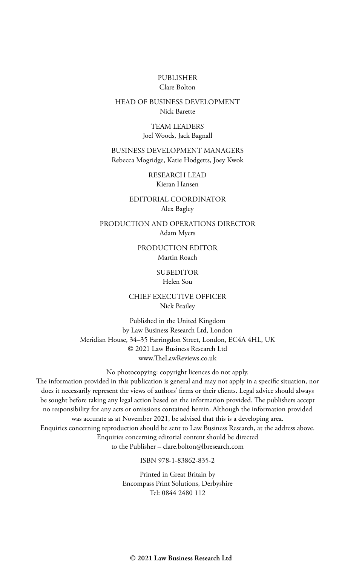#### PUBLISHER Clare Bolton

#### HEAD OF BUSINESS DEVELOPMENT Nick Barette

TEAM LEADERS Joel Woods, Jack Bagnall

BUSINESS DEVELOPMENT MANAGERS Rebecca Mogridge, Katie Hodgetts, Joey Kwok

> RESEARCH LEAD Kieran Hansen

EDITORIAL COORDINATOR Alex Bagley

PRODUCTION AND OPERATIONS DIRECTOR Adam Myers

> PRODUCTION EDITOR Martin Roach

#### **SUBEDITOR**

Helen Sou

CHIEF EXECUTIVE OFFICER Nick Brailey

Published in the United Kingdom by Law Business Research Ltd, London Meridian House, 34–35 Farringdon Street, London, EC4A 4HL, UK © 2021 Law Business Research Ltd www.TheLawReviews.co.uk

No photocopying: copyright licences do not apply. The information provided in this publication is general and may not apply in a specific situation, nor does it necessarily represent the views of authors' firms or their clients. Legal advice should always be sought before taking any legal action based on the information provided. The publishers accept no responsibility for any acts or omissions contained herein. Although the information provided was accurate as at November 2021, be advised that this is a developing area. Enquiries concerning reproduction should be sent to Law Business Research, at the address above. Enquiries concerning editorial content should be directed to the Publisher – clare.bolton@lbresearch.com

ISBN 978-1-83862-835-2

Printed in Great Britain by Encompass Print Solutions, Derbyshire Tel: 0844 2480 112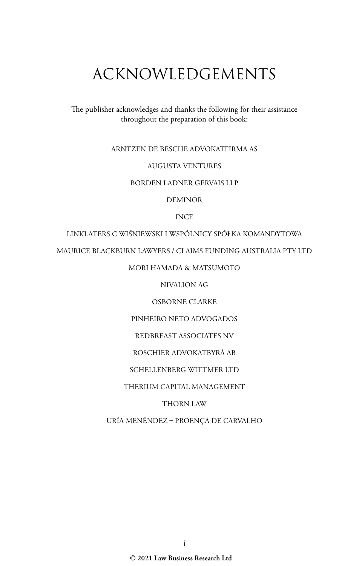# ACKNOWLEDGEMENTS

The publisher acknowledges and thanks the following for their assistance throughout the preparation of this book:

#### ARNTZEN DE BESCHE ADVOKATFIRMA AS

#### AUGUSTA VENTURES

#### BORDEN LADNER GERVAIS LLP

DEMINOR

#### INCE

#### LINKLATERS C WIŚNIEWSKI I WSPÓLNICY SPÓŁKA KOMANDYTOWA

MAURICE BLACKBURN LAWYERS / CLAIMS FUNDING AUSTRALIA PTY LTD

#### MORI HAMADA & MATSUMOTO

NIVALION AG

#### OSBORNE CLARKE

PINHEIRO NETO ADVOGADOS

REDBREAST ASSOCIATES NV

#### ROSCHIER ADVOKATBYRÅ AB

#### SCHELLENBERG WITTMER LTD

#### THERIUM CAPITAL MANAGEMENT

#### THORN LAW

#### URÍA MENÉNDEZ – PROENÇA DE CARVALHO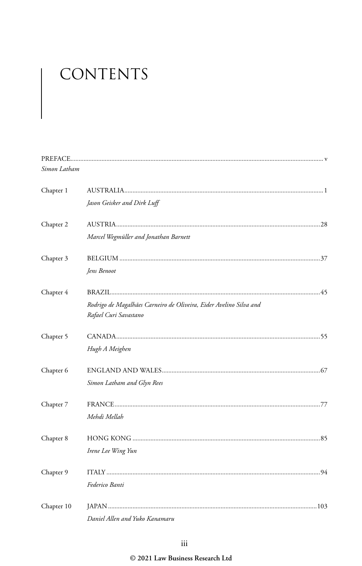# CONTENTS

| Simon Latham |                                                                                             |
|--------------|---------------------------------------------------------------------------------------------|
| Chapter 1    |                                                                                             |
|              | Jason Geisker and Dirk Luff                                                                 |
| Chapter 2    |                                                                                             |
|              | Marcel Wegmüller and Jonathan Barnett                                                       |
| Chapter 3    |                                                                                             |
|              | Jens Benoot                                                                                 |
| Chapter 4    |                                                                                             |
|              | Rodrigo de Magalhães Carneiro de Oliveira, Eider Avelino Silva and<br>Rafael Curi Savastano |
| Chapter 5    |                                                                                             |
|              | Hugh A Meighen                                                                              |
| Chapter 6    |                                                                                             |
|              | Simon Latham and Glyn Rees                                                                  |
| Chapter 7    |                                                                                             |
|              | Mehdi Mellah                                                                                |
| Chapter 8    |                                                                                             |
|              | Irene Lee Wing Yun                                                                          |
| Chapter 9    |                                                                                             |
|              | Federico Banti                                                                              |
| Chapter 10   |                                                                                             |
|              | Daniel Allen and Yuko Kanamaru                                                              |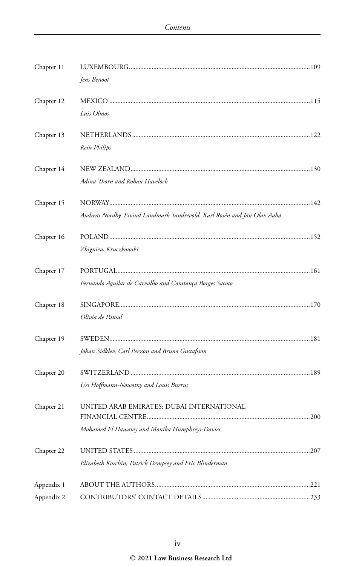| Chapter 11 |                                                                          |  |
|------------|--------------------------------------------------------------------------|--|
|            | Jens Benoot                                                              |  |
| Chapter 12 |                                                                          |  |
|            | Luis Olmos                                                               |  |
| Chapter 13 |                                                                          |  |
|            | Rein Philips                                                             |  |
| Chapter 14 |                                                                          |  |
|            | Adina Thorn and Rohan Havelock                                           |  |
| Chapter 15 |                                                                          |  |
|            | Andreas Nordby, Eivind Landmark Tandrevold, Karl Rosén and Jan Olav Aabø |  |
| Chapter 16 |                                                                          |  |
|            | Zbigniew Kruczkowski                                                     |  |
| Chapter 17 |                                                                          |  |
|            | Fernando Aguilar de Carvalho and Constança Borges Sacoto                 |  |
| Chapter 18 |                                                                          |  |
|            | Olivia de Patoul                                                         |  |
| Chapter 19 |                                                                          |  |
|            | Johan Sidklev, Carl Persson and Bruno Gustafsson                         |  |
| Chapter 20 |                                                                          |  |
|            | Urs Hoffmann-Nowotny and Louis Burrus                                    |  |
| Chapter 21 | UNITED ARAB EMIRATES: DUBAI INTERNATIONAL                                |  |
|            | Mohamed El Hawawy and Monika Humphreys-Davies                            |  |
|            |                                                                          |  |
| Chapter 22 |                                                                          |  |
|            | Elizabeth Korchin, Patrick Dempsey and Eric Blinderman                   |  |
| Appendix 1 |                                                                          |  |
| Appendix 2 |                                                                          |  |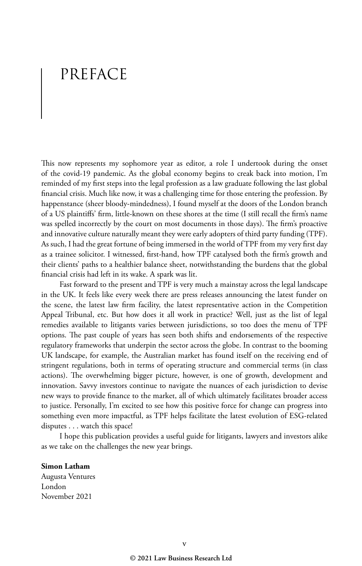# PREFACE

This now represents my sophomore year as editor, a role I undertook during the onset of the covid-19 pandemic. As the global economy begins to creak back into motion, I'm reminded of my first steps into the legal profession as a law graduate following the last global financial crisis. Much like now, it was a challenging time for those entering the profession. By happenstance (sheer bloody-mindedness), I found myself at the doors of the London branch of a US plaintiffs' firm, little-known on these shores at the time (I still recall the firm's name was spelled incorrectly by the court on most documents in those days). The firm's proactive and innovative culture naturally meant they were early adopters of third party funding (TPF). As such, I had the great fortune of being immersed in the world of TPF from my very first day as a trainee solicitor. I witnessed, first-hand, how TPF catalysed both the firm's growth and their clients' paths to a healthier balance sheet, notwithstanding the burdens that the global financial crisis had left in its wake. A spark was lit.

Fast forward to the present and TPF is very much a mainstay across the legal landscape in the UK. It feels like every week there are press releases announcing the latest funder on the scene, the latest law firm facility, the latest representative action in the Competition Appeal Tribunal, etc. But how does it all work in practice? Well, just as the list of legal remedies available to litigants varies between jurisdictions, so too does the menu of TPF options. The past couple of years has seen both shifts and endorsements of the respective regulatory frameworks that underpin the sector across the globe. In contrast to the booming UK landscape, for example, the Australian market has found itself on the receiving end of stringent regulations, both in terms of operating structure and commercial terms (in class actions). The overwhelming bigger picture, however, is one of growth, development and innovation. Savvy investors continue to navigate the nuances of each jurisdiction to devise new ways to provide finance to the market, all of which ultimately facilitates broader access to justice. Personally, I'm excited to see how this positive force for change can progress into something even more impactful, as TPF helps facilitate the latest evolution of ESG-related disputes . . . watch this space!

I hope this publication provides a useful guide for litigants, lawyers and investors alike as we take on the challenges the new year brings.

**Simon Latham** Augusta Ventures London November 2021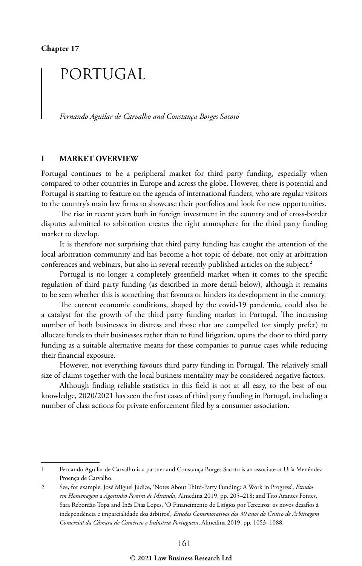## PORTUGAL

*Fernando Aguilar de Carvalho and Constança Borges Sacoto*<sup>1</sup>

#### **I MARKET OVERVIEW**

Portugal continues to be a peripheral market for third party funding, especially when compared to other countries in Europe and across the globe. However, there is potential and Portugal is starting to feature on the agenda of international funders, who are regular visitors to the country's main law firms to showcase their portfolios and look for new opportunities.

The rise in recent years both in foreign investment in the country and of cross-border disputes submitted to arbitration creates the right atmosphere for the third party funding market to develop.

It is therefore not surprising that third party funding has caught the attention of the local arbitration community and has become a hot topic of debate, not only at arbitration conferences and webinars, but also in several recently published articles on the subject.<sup>2</sup>

Portugal is no longer a completely greenfield market when it comes to the specific regulation of third party funding (as described in more detail below), although it remains to be seen whether this is something that favours or hinders its development in the country.

The current economic conditions, shaped by the covid-19 pandemic, could also be a catalyst for the growth of the third party funding market in Portugal. The increasing number of both businesses in distress and those that are compelled (or simply prefer) to allocate funds to their businesses rather than to fund litigation, opens the door to third party funding as a suitable alternative means for these companies to pursue cases while reducing their financial exposure.

However, not everything favours third party funding in Portugal. The relatively small size of claims together with the local business mentality may be considered negative factors.

Although finding reliable statistics in this field is not at all easy, to the best of our knowledge, 2020/2021 has seen the first cases of third party funding in Portugal, including a number of class actions for private enforcement filed by a consumer association.

<sup>1</sup> Fernando Aguilar de Carvalho is a partner and Constança Borges Sacoto is an associate at Uría Menéndez – Proença de Carvalho.

<sup>2</sup> See, for example, José Miguel Júdice, 'Notes About Third-Party Funding: A Work in Progress', *Estudos em Homenagem* a *Agostinho Pereira de Miranda*, Almedina 2019, pp. 205–218; and Tito Arantes Fontes, Sara Rebordão Topa and Inês Dias Lopes, 'O Financimento de Litígios por Terceiros: os novos desafios à independência e imparcialidade dos árbitros', *Estudos Comemorativos dos 30 anos do Centro de Arbitragem Comercial da Câmara de Comércio e Indústria Portuguesa*, Almedina 2019, pp. 1053–1088.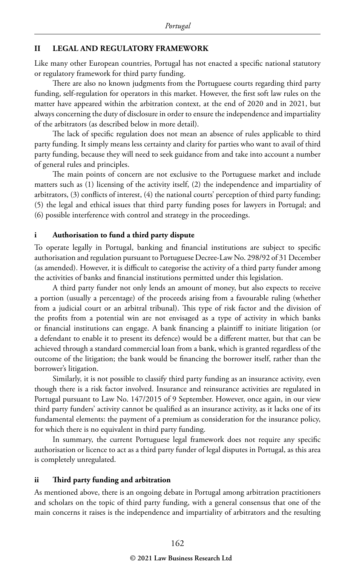#### **II LEGAL AND REGULATORY FRAMEWORK**

Like many other European countries, Portugal has not enacted a specific national statutory or regulatory framework for third party funding.

There are also no known judgments from the Portuguese courts regarding third party funding, self-regulation for operators in this market. However, the first soft law rules on the matter have appeared within the arbitration context, at the end of 2020 and in 2021, but always concerning the duty of disclosure in order to ensure the independence and impartiality of the arbitrators (as described below in more detail).

The lack of specific regulation does not mean an absence of rules applicable to third party funding. It simply means less certainty and clarity for parties who want to avail of third party funding, because they will need to seek guidance from and take into account a number of general rules and principles.

The main points of concern are not exclusive to the Portuguese market and include matters such as (1) licensing of the activity itself, (2) the independence and impartiality of arbitrators, (3) conflicts of interest, (4) the national courts' perception of third party funding; (5) the legal and ethical issues that third party funding poses for lawyers in Portugal; and (6) possible interference with control and strategy in the proceedings.

#### **i Authorisation to fund a third party dispute**

To operate legally in Portugal, banking and financial institutions are subject to specific authorisation and regulation pursuant to Portuguese Decree-Law No. 298/92 of 31 December (as amended). However, it is difficult to categorise the activity of a third party funder among the activities of banks and financial institutions permitted under this legislation.

A third party funder not only lends an amount of money, but also expects to receive a portion (usually a percentage) of the proceeds arising from a favourable ruling (whether from a judicial court or an arbitral tribunal). This type of risk factor and the division of the profits from a potential win are not envisaged as a type of activity in which banks or financial institutions can engage. A bank financing a plaintiff to initiate litigation (or a defendant to enable it to present its defence) would be a different matter, but that can be achieved through a standard commercial loan from a bank, which is granted regardless of the outcome of the litigation; the bank would be financing the borrower itself, rather than the borrower's litigation.

Similarly, it is not possible to classify third party funding as an insurance activity, even though there is a risk factor involved. Insurance and reinsurance activities are regulated in Portugal pursuant to Law No. 147/2015 of 9 September. However, once again, in our view third party funders' activity cannot be qualified as an insurance activity, as it lacks one of its fundamental elements: the payment of a premium as consideration for the insurance policy, for which there is no equivalent in third party funding.

In summary, the current Portuguese legal framework does not require any specific authorisation or licence to act as a third party funder of legal disputes in Portugal, as this area is completely unregulated.

#### **ii Third party funding and arbitration**

As mentioned above, there is an ongoing debate in Portugal among arbitration practitioners and scholars on the topic of third party funding, with a general consensus that one of the main concerns it raises is the independence and impartiality of arbitrators and the resulting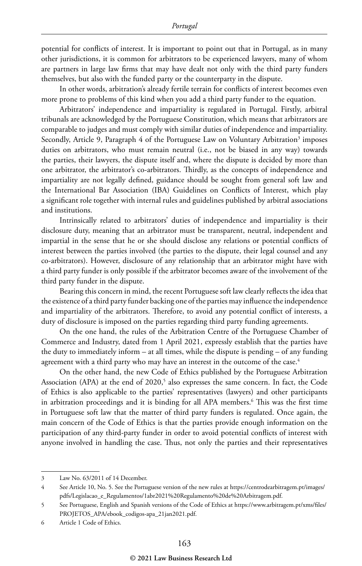potential for conflicts of interest. It is important to point out that in Portugal, as in many other jurisdictions, it is common for arbitrators to be experienced lawyers, many of whom are partners in large law firms that may have dealt not only with the third party funders themselves, but also with the funded party or the counterparty in the dispute.

In other words, arbitration's already fertile terrain for conflicts of interest becomes even more prone to problems of this kind when you add a third party funder to the equation.

Arbitrators' independence and impartiality is regulated in Portugal. Firstly, arbitral tribunals are acknowledged by the Portuguese Constitution, which means that arbitrators are comparable to judges and must comply with similar duties of independence and impartiality. Secondly, Article 9, Paragraph 4 of the Portuguese Law on Voluntary Arbitration<sup>3</sup> imposes duties on arbitrators, who must remain neutral (i.e., not be biased in any way) towards the parties, their lawyers, the dispute itself and, where the dispute is decided by more than one arbitrator, the arbitrator's co-arbitrators. Thirdly, as the concepts of independence and impartiality are not legally defined, guidance should be sought from general soft law and the International Bar Association (IBA) Guidelines on Conflicts of Interest, which play a significant role together with internal rules and guidelines published by arbitral associations and institutions.

Intrinsically related to arbitrators' duties of independence and impartiality is their disclosure duty, meaning that an arbitrator must be transparent, neutral, independent and impartial in the sense that he or she should disclose any relations or potential conflicts of interest between the parties involved (the parties to the dispute, their legal counsel and any co-arbitrators). However, disclosure of any relationship that an arbitrator might have with a third party funder is only possible if the arbitrator becomes aware of the involvement of the third party funder in the dispute.

Bearing this concern in mind, the recent Portuguese soft law clearly reflects the idea that the existence of a third party funder backing one of the parties may influence the independence and impartiality of the arbitrators. Therefore, to avoid any potential conflict of interests, a duty of disclosure is imposed on the parties regarding third party funding agreements.

On the one hand, the rules of the Arbitration Centre of the Portuguese Chamber of Commerce and Industry, dated from 1 April 2021, expressly establish that the parties have the duty to immediately inform – at all times, while the dispute is pending – of any funding agreement with a third party who may have an interest in the outcome of the case.<sup>4</sup>

On the other hand, the new Code of Ethics published by the Portuguese Arbitration Association (APA) at the end of 2020,<sup>5</sup> also expresses the same concern. In fact, the Code of Ethics is also applicable to the parties' representatives (lawyers) and other participants in arbitration proceedings and it is binding for all APA members.6 This was the first time in Portuguese soft law that the matter of third party funders is regulated. Once again, the main concern of the Code of Ethics is that the parties provide enough information on the participation of any third-party funder in order to avoid potential conflicts of interest with anyone involved in handling the case. Thus, not only the parties and their representatives

<sup>3</sup> Law No. 63/2011 of 14 December.

<sup>4</sup> See Article 10, No. 5. See the Portuguese version of the new rules at https://centrodearbitragem.pt/images/ pdfs/Legislacao\_e\_Regulamentos/1abr2021%20Regulamento%20de%20Arbitragem.pdf.

<sup>5</sup> See Portuguese, English and Spanish versions of the Code of Ethics at https://www.arbitragem.pt/xms/files/ PROJETOS\_APA/ebook\_codigos-apa\_21jan2021.pdf.

<sup>6</sup> Article 1 Code of Ethics.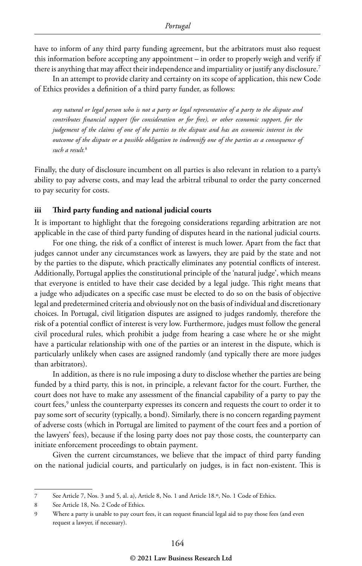have to inform of any third party funding agreement, but the arbitrators must also request this information before accepting any appointment – in order to properly weigh and verify if there is anything that may affect their independence and impartiality or justify any disclosure.7

In an attempt to provide clarity and certainty on its scope of application, this new Code of Ethics provides a definition of a third party funder, as follows:

*any natural or legal person who is not a party or legal representative of a party to the dispute and contributes financial support (for consideration or for free), or other economic support, for the judgement of the claims of one of the parties to the dispute and has an economic interest in the outcome of the dispute or a possible obligation to indemnify one of the parties as a consequence of such a result.*<sup>8</sup>

Finally, the duty of disclosure incumbent on all parties is also relevant in relation to a party's ability to pay adverse costs, and may lead the arbitral tribunal to order the party concerned to pay security for costs.

#### **iii Third party funding and national judicial courts**

It is important to highlight that the foregoing considerations regarding arbitration are not applicable in the case of third party funding of disputes heard in the national judicial courts.

For one thing, the risk of a conflict of interest is much lower. Apart from the fact that judges cannot under any circumstances work as lawyers, they are paid by the state and not by the parties to the dispute, which practically eliminates any potential conflicts of interest. Additionally, Portugal applies the constitutional principle of the 'natural judge', which means that everyone is entitled to have their case decided by a legal judge. This right means that a judge who adjudicates on a specific case must be elected to do so on the basis of objective legal and predetermined criteria and obviously not on the basis of individual and discretionary choices. In Portugal, civil litigation disputes are assigned to judges randomly, therefore the risk of a potential conflict of interest is very low. Furthermore, judges must follow the general civil procedural rules, which prohibit a judge from hearing a case where he or she might have a particular relationship with one of the parties or an interest in the dispute, which is particularly unlikely when cases are assigned randomly (and typically there are more judges than arbitrators).

In addition, as there is no rule imposing a duty to disclose whether the parties are being funded by a third party, this is not, in principle, a relevant factor for the court. Further, the court does not have to make any assessment of the financial capability of a party to pay the court fees, $^9$  unless the counterparty expresses its concern and requests the court to order it to pay some sort of security (typically, a bond). Similarly, there is no concern regarding payment of adverse costs (which in Portugal are limited to payment of the court fees and a portion of the lawyers' fees), because if the losing party does not pay those costs, the counterparty can initiate enforcement proceedings to obtain payment.

Given the current circumstances, we believe that the impact of third party funding on the national judicial courts, and particularly on judges, is in fact non-existent. This is

<sup>7</sup> See Article 7, Nos. 3 and 5, al. a), Article 8, No. 1 and Article 18.º, No. 1 Code of Ethics.

<sup>8</sup> See Article 18, No. 2 Code of Ethics.

<sup>9</sup> Where a party is unable to pay court fees, it can request financial legal aid to pay those fees (and even request a lawyer, if necessary).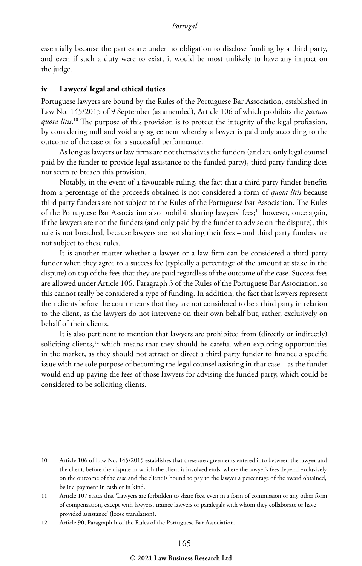essentially because the parties are under no obligation to disclose funding by a third party, and even if such a duty were to exist, it would be most unlikely to have any impact on the judge.

#### **iv Lawyers' legal and ethical duties**

Portuguese lawyers are bound by the Rules of the Portuguese Bar Association, established in Law No. 145/2015 of 9 September (as amended), Article 106 of which prohibits the *pactum quota litis*. 10 The purpose of this provision is to protect the integrity of the legal profession, by considering null and void any agreement whereby a lawyer is paid only according to the outcome of the case or for a successful performance.

As long as lawyers or law firms are not themselves the funders (and are only legal counsel paid by the funder to provide legal assistance to the funded party), third party funding does not seem to breach this provision.

Notably, in the event of a favourable ruling, the fact that a third party funder benefits from a percentage of the proceeds obtained is not considered a form of *quota litis* because third party funders are not subject to the Rules of the Portuguese Bar Association. The Rules of the Portuguese Bar Association also prohibit sharing lawyers' fees;<sup>11</sup> however, once again, if the lawyers are not the funders (and only paid by the funder to advise on the dispute), this rule is not breached, because lawyers are not sharing their fees – and third party funders are not subject to these rules.

It is another matter whether a lawyer or a law firm can be considered a third party funder when they agree to a success fee (typically a percentage of the amount at stake in the dispute) on top of the fees that they are paid regardless of the outcome of the case. Success fees are allowed under Article 106, Paragraph 3 of the Rules of the Portuguese Bar Association, so this cannot really be considered a type of funding. In addition, the fact that lawyers represent their clients before the court means that they are not considered to be a third party in relation to the client, as the lawyers do not intervene on their own behalf but, rather, exclusively on behalf of their clients.

It is also pertinent to mention that lawyers are prohibited from (directly or indirectly) soliciting clients, $12$  which means that they should be careful when exploring opportunities in the market, as they should not attract or direct a third party funder to finance a specific issue with the sole purpose of becoming the legal counsel assisting in that case – as the funder would end up paying the fees of those lawyers for advising the funded party, which could be considered to be soliciting clients.

<sup>10</sup> Article 106 of Law No. 145/2015 establishes that these are agreements entered into between the lawyer and the client, before the dispute in which the client is involved ends, where the lawyer's fees depend exclusively on the outcome of the case and the client is bound to pay to the lawyer a percentage of the award obtained, be it a payment in cash or in kind.

<sup>11</sup> Article 107 states that 'Lawyers are forbidden to share fees, even in a form of commission or any other form of compensation, except with lawyers, trainee lawyers or paralegals with whom they collaborate or have provided assistance' (loose translation).

<sup>12</sup> Article 90, Paragraph h of the Rules of the Portuguese Bar Association.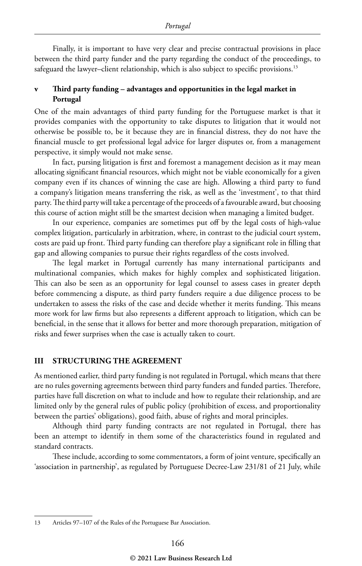Finally, it is important to have very clear and precise contractual provisions in place between the third party funder and the party regarding the conduct of the proceedings, to safeguard the lawyer-client relationship, which is also subject to specific provisions.<sup>13</sup>

#### **v Third party funding – advantages and opportunities in the legal market in Portugal**

One of the main advantages of third party funding for the Portuguese market is that it provides companies with the opportunity to take disputes to litigation that it would not otherwise be possible to, be it because they are in financial distress, they do not have the financial muscle to get professional legal advice for larger disputes or, from a management perspective, it simply would not make sense.

In fact, pursing litigation is first and foremost a management decision as it may mean allocating significant financial resources, which might not be viable economically for a given company even if its chances of winning the case are high. Allowing a third party to fund a company's litigation means transferring the risk, as well as the 'investment', to that third party. The third party will take a percentage of the proceeds of a favourable award, but choosing this course of action might still be the smartest decision when managing a limited budget.

In our experience, companies are sometimes put off by the legal costs of high-value complex litigation, particularly in arbitration, where, in contrast to the judicial court system, costs are paid up front. Third party funding can therefore play a significant role in filling that gap and allowing companies to pursue their rights regardless of the costs involved.

The legal market in Portugal currently has many international participants and multinational companies, which makes for highly complex and sophisticated litigation. This can also be seen as an opportunity for legal counsel to assess cases in greater depth before commencing a dispute, as third party funders require a due diligence process to be undertaken to assess the risks of the case and decide whether it merits funding. This means more work for law firms but also represents a different approach to litigation, which can be beneficial, in the sense that it allows for better and more thorough preparation, mitigation of risks and fewer surprises when the case is actually taken to court.

#### **III STRUCTURING THE AGREEMENT**

As mentioned earlier, third party funding is not regulated in Portugal, which means that there are no rules governing agreements between third party funders and funded parties. Therefore, parties have full discretion on what to include and how to regulate their relationship, and are limited only by the general rules of public policy (prohibition of excess, and proportionality between the parties' obligations), good faith, abuse of rights and moral principles.

Although third party funding contracts are not regulated in Portugal, there has been an attempt to identify in them some of the characteristics found in regulated and standard contracts.

These include, according to some commentators, a form of joint venture, specifically an 'association in partnership', as regulated by Portuguese Decree-Law 231/81 of 21 July, while

<sup>13</sup> Articles 97–107 of the Rules of the Portuguese Bar Association.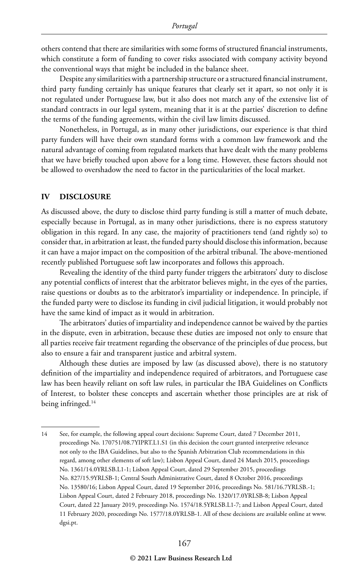others contend that there are similarities with some forms of structured financial instruments, which constitute a form of funding to cover risks associated with company activity beyond the conventional ways that might be included in the balance sheet.

Despite any similarities with a partnership structure or a structured financial instrument, third party funding certainly has unique features that clearly set it apart, so not only it is not regulated under Portuguese law, but it also does not match any of the extensive list of standard contracts in our legal system, meaning that it is at the parties' discretion to define the terms of the funding agreements, within the civil law limits discussed.

Nonetheless, in Portugal, as in many other jurisdictions, our experience is that third party funders will have their own standard forms with a common law framework and the natural advantage of coming from regulated markets that have dealt with the many problems that we have briefly touched upon above for a long time. However, these factors should not be allowed to overshadow the need to factor in the particularities of the local market.

#### **IV DISCLOSURE**

As discussed above, the duty to disclose third party funding is still a matter of much debate, especially because in Portugal, as in many other jurisdictions, there is no express statutory obligation in this regard. In any case, the majority of practitioners tend (and rightly so) to consider that, in arbitration at least, the funded party should disclose this information, because it can have a major impact on the composition of the arbitral tribunal. The above-mentioned recently published Portuguese soft law incorporates and follows this approach.

Revealing the identity of the third party funder triggers the arbitrators' duty to disclose any potential conflicts of interest that the arbitrator believes might, in the eyes of the parties, raise questions or doubts as to the arbitrator's impartiality or independence. In principle, if the funded party were to disclose its funding in civil judicial litigation, it would probably not have the same kind of impact as it would in arbitration.

The arbitrators' duties of impartiality and independence cannot be waived by the parties in the dispute, even in arbitration, because these duties are imposed not only to ensure that all parties receive fair treatment regarding the observance of the principles of due process, but also to ensure a fair and transparent justice and arbitral system.

Although these duties are imposed by law (as discussed above), there is no statutory definition of the impartiality and independence required of arbitrators, and Portuguese case law has been heavily reliant on soft law rules, in particular the IBA Guidelines on Conflicts of Interest, to bolster these concepts and ascertain whether those principles are at risk of being infringed.14

<sup>14</sup> See, for example, the following appeal court decisions: Supreme Court, dated 7 December 2011, proceedings No. 170751/08.7YIPRT.L1.S1 (in this decision the court granted interpretive relevance not only to the IBA Guidelines, but also to the Spanish Arbitration Club recommendations in this regard, among other elements of soft law); Lisbon Appeal Court, dated 24 March 2015, proceedings No. 1361/14.0YRLSB.L1-1; Lisbon Appeal Court, dated 29 September 2015, proceedings No. 827/15.9YRLSB-1; Central South Administrative Court, dated 8 October 2016, proceedings No. 13580/16; Lisbon Appeal Court, dated 19 September 2016, proceedings No. 581/16.7YRLSB.-1; Lisbon Appeal Court, dated 2 February 2018, proceedings No. 1320/17.0YRLSB-8; Lisbon Appeal Court, dated 22 January 2019, proceedings No. 1574/18.5YRLSB.L1-7; and Lisbon Appeal Court, dated 11 February 2020, proceedings No. 1577/18.0YRLSB-1. All of these decisions are available online at www. dgsi.pt.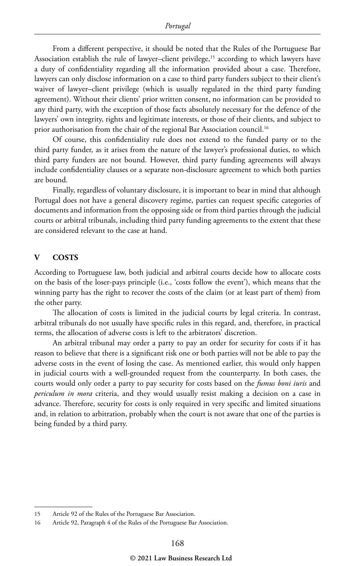From a different perspective, it should be noted that the Rules of the Portuguese Bar Association establish the rule of lawyer–client privilege,<sup>15</sup> according to which lawyers have a duty of confidentiality regarding all the information provided about a case. Therefore, lawyers can only disclose information on a case to third party funders subject to their client's waiver of lawyer–client privilege (which is usually regulated in the third party funding agreement). Without their clients' prior written consent, no information can be provided to any third party, with the exception of those facts absolutely necessary for the defence of the lawyers' own integrity, rights and legitimate interests, or those of their clients, and subject to prior authorisation from the chair of the regional Bar Association council.<sup>16</sup>

Of course, this confidentiality rule does not extend to the funded party or to the third party funder, as it arises from the nature of the lawyer's professional duties, to which third party funders are not bound. However, third party funding agreements will always include confidentiality clauses or a separate non-disclosure agreement to which both parties are bound.

Finally, regardless of voluntary disclosure, it is important to bear in mind that although Portugal does not have a general discovery regime, parties can request specific categories of documents and information from the opposing side or from third parties through the judicial courts or arbitral tribunals, including third party funding agreements to the extent that these are considered relevant to the case at hand.

#### **V COSTS**

According to Portuguese law, both judicial and arbitral courts decide how to allocate costs on the basis of the loser-pays principle (i.e., 'costs follow the event'), which means that the winning party has the right to recover the costs of the claim (or at least part of them) from the other party.

The allocation of costs is limited in the judicial courts by legal criteria. In contrast, arbitral tribunals do not usually have specific rules in this regard, and, therefore, in practical terms, the allocation of adverse costs is left to the arbitrators' discretion.

An arbitral tribunal may order a party to pay an order for security for costs if it has reason to believe that there is a significant risk one or both parties will not be able to pay the adverse costs in the event of losing the case. As mentioned earlier, this would only happen in judicial courts with a well-grounded request from the counterparty. In both cases, the courts would only order a party to pay security for costs based on the *fumus boni iuris* and *periculum in mora* criteria, and they would usually resist making a decision on a case in advance. Therefore, security for costs is only required in very specific and limited situations and, in relation to arbitration, probably when the court is not aware that one of the parties is being funded by a third party.

<sup>15</sup> Article 92 of the Rules of the Portuguese Bar Association.

<sup>16</sup> Article 92, Paragraph 4 of the Rules of the Portuguese Bar Association.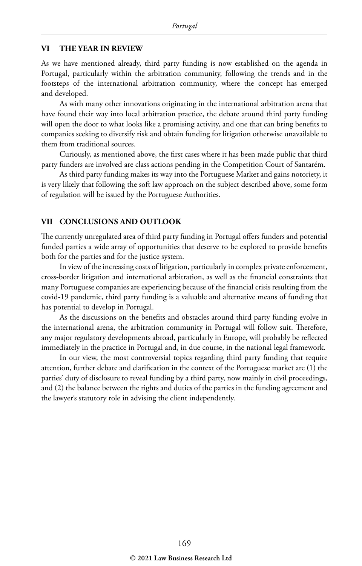#### **VI THE YEAR IN REVIEW**

As we have mentioned already, third party funding is now established on the agenda in Portugal, particularly within the arbitration community, following the trends and in the footsteps of the international arbitration community, where the concept has emerged and developed.

As with many other innovations originating in the international arbitration arena that have found their way into local arbitration practice, the debate around third party funding will open the door to what looks like a promising activity, and one that can bring benefits to companies seeking to diversify risk and obtain funding for litigation otherwise unavailable to them from traditional sources.

Curiously, as mentioned above, the first cases where it has been made public that third party funders are involved are class actions pending in the Competition Court of Santarém.

As third party funding makes its way into the Portuguese Market and gains notoriety, it is very likely that following the soft law approach on the subject described above, some form of regulation will be issued by the Portuguese Authorities.

#### **VII CONCLUSIONS AND OUTLOOK**

The currently unregulated area of third party funding in Portugal offers funders and potential funded parties a wide array of opportunities that deserve to be explored to provide benefits both for the parties and for the justice system.

In view of the increasing costs of litigation, particularly in complex private enforcement, cross-border litigation and international arbitration, as well as the financial constraints that many Portuguese companies are experiencing because of the financial crisis resulting from the covid-19 pandemic, third party funding is a valuable and alternative means of funding that has potential to develop in Portugal.

As the discussions on the benefits and obstacles around third party funding evolve in the international arena, the arbitration community in Portugal will follow suit. Therefore, any major regulatory developments abroad, particularly in Europe, will probably be reflected immediately in the practice in Portugal and, in due course, in the national legal framework.

In our view, the most controversial topics regarding third party funding that require attention, further debate and clarification in the context of the Portuguese market are (1) the parties' duty of disclosure to reveal funding by a third party, now mainly in civil proceedings, and (2) the balance between the rights and duties of the parties in the funding agreement and the lawyer's statutory role in advising the client independently.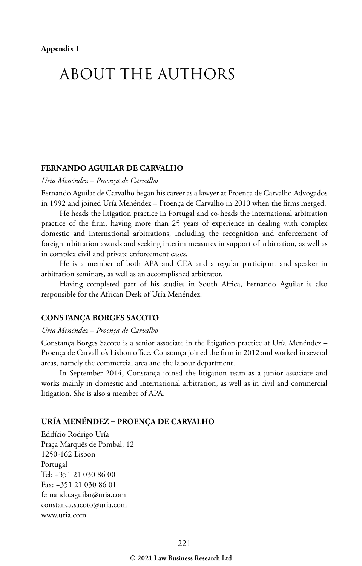# ABOUT THE AUTHORS

#### **FERNANDO AGUILAR DE CARVALHO**

*Uría Menéndez – Proença de Carvalho*

Fernando Aguilar de Carvalho began his career as a lawyer at Proença de Carvalho Advogados in 1992 and joined Uría Menéndez – Proença de Carvalho in 2010 when the firms merged.

He heads the litigation practice in Portugal and co-heads the international arbitration practice of the firm, having more than 25 years of experience in dealing with complex domestic and international arbitrations, including the recognition and enforcement of foreign arbitration awards and seeking interim measures in support of arbitration, as well as in complex civil and private enforcement cases.

He is a member of both APA and CEA and a regular participant and speaker in arbitration seminars, as well as an accomplished arbitrator.

Having completed part of his studies in South Africa, Fernando Aguilar is also responsible for the African Desk of Uría Menéndez.

#### **CONSTANÇA BORGES SACOTO**

#### *Uría Menéndez – Proença de Carvalho*

Constança Borges Sacoto is a senior associate in the litigation practice at Uría Menéndez – Proença de Carvalho's Lisbon office. Constança joined the firm in 2012 and worked in several areas, namely the commercial area and the labour department.

In September 2014, Constança joined the litigation team as a junior associate and works mainly in domestic and international arbitration, as well as in civil and commercial litigation. She is also a member of APA.

#### **URÍA MENÉNDEZ – PROENÇA DE CARVALHO**

Edifício Rodrigo Uría Praça Marquês de Pombal, 12 1250-162 Lisbon Portugal Tel: +351 21 030 86 00 Fax: +351 21 030 86 01 fernando.aguilar@uria.com constanca.sacoto@uria.com www.uria.com